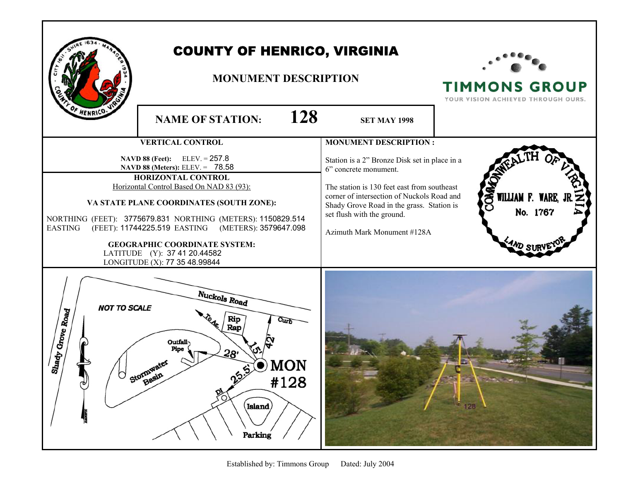|                                                                                                                                                                                                                                                                                                                                                                   | <b>COUNTY OF HENRICO, VIRGINIA</b><br><b>MONUMENT DESCRIPTION</b>                                                                   |                                                                                                                                                                                                                              | <b>TIMMONS GROUP</b><br>YOUR VISION ACHIEVED THROUGH OURS. |
|-------------------------------------------------------------------------------------------------------------------------------------------------------------------------------------------------------------------------------------------------------------------------------------------------------------------------------------------------------------------|-------------------------------------------------------------------------------------------------------------------------------------|------------------------------------------------------------------------------------------------------------------------------------------------------------------------------------------------------------------------------|------------------------------------------------------------|
| HENRICO.                                                                                                                                                                                                                                                                                                                                                          | 128<br><b>NAME OF STATION:</b>                                                                                                      | <b>SET MAY 1998</b>                                                                                                                                                                                                          |                                                            |
| <b>VERTICAL CONTROL</b><br>NAVD 88 (Feet): ELEV. = 257.8<br>NAVD 88 (Meters): ELEV. = 78.58                                                                                                                                                                                                                                                                       |                                                                                                                                     | <b>MONUMENT DESCRIPTION:</b><br>Station is a 2" Bronze Disk set in place in a                                                                                                                                                |                                                            |
| <b>HORIZONTAL CONTROL</b><br>Horizontal Control Based On NAD 83 (93):<br>VA STATE PLANE COORDINATES (SOUTH ZONE):<br>NORTHING (FEET): 3775679.831 NORTHING (METERS): 1150829.514<br>(FEET): 11744225.519 EASTING (METERS): 3579647.098<br><b>EASTING</b><br><b>GEOGRAPHIC COORDINATE SYSTEM:</b><br>LATITUDE (Y): 37 41 20.44582<br>LONGITUDE (X): 77 35 48.99844 |                                                                                                                                     | 6" concrete monument.<br>The station is 130 feet east from southeast<br>corner of intersection of Nuckols Road and<br>Shady Grove Road in the grass. Station is<br>set flush with the ground.<br>Azimuth Mark Monument #128A | క్ట<br>WILLIAM F. WARE,<br>No. 1767                        |
| <b>NOT TO SCALE</b><br>Shady Grove Road<br>Φ                                                                                                                                                                                                                                                                                                                      | Nuckols Road<br>Rip<br><b>Curb</b><br>Ŀ<br>Rap<br>Outfall-<br>Pine<br>28'<br>MON<br>Ston Basin<br>ကွား<br>#128<br>Island<br>Parking |                                                                                                                                                                                                                              | 128                                                        |